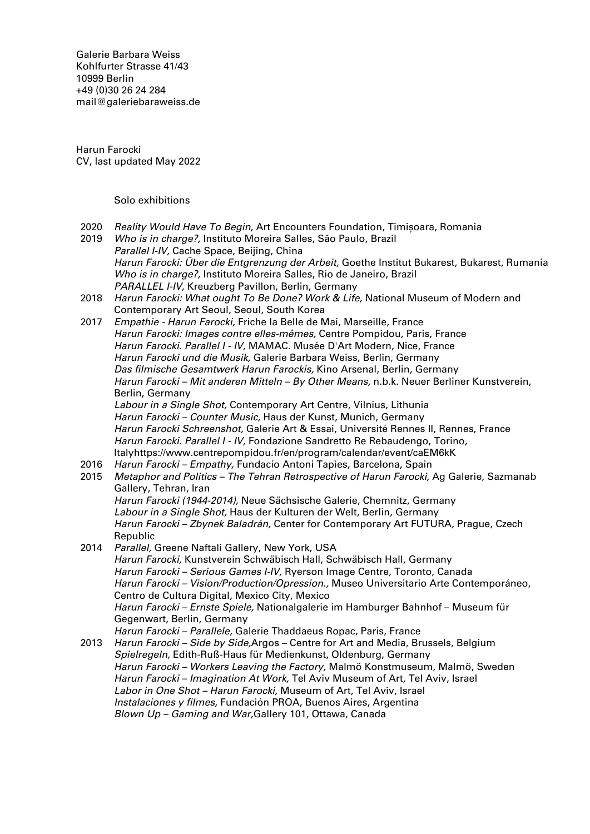Galerie Barbara Weiss [Kohlfurter Strasse 41/43](https://goo.gl/maps/ZQcePopa6uu3a3k19) [10999 Berlin](https://goo.gl/maps/ZQcePopa6uu3a3k19) +49 (0)30 26 24 284 [mail@galeriebaraweiss.de](mailto:mail@galeriebarbaraweiss.de)

Harun Farocki CV, last updated May 2022

Solo exhibitions

- 2020 Reality Would Have To Begin, Art Encounters Foundation, Timișoara, Romania
- 2019 Who is in charge?, Instituto Moreira Salles, São Paulo, Brazil Parallel I-IV, Cache Space, Beijing, China Harun Farocki: Über die Entgrenzung der Arbeit, Goethe Institut Bukarest, Bukarest, Rumania Who is in charge?, Instituto Moreira Salles, Rio de Janeiro, Brazil PARALLEL I-IV, Kreuzberg Pavillon, Berlin, Germany
- 2018 Harun Farocki: What ought To Be Done? Work & Life, National Museum of Modern and Contemporary Art Seoul, Seoul, South Korea
- 2017 Empathie Harun Farocki, Friche la Belle de Mai, Marseille, France Harun Farocki: Images contre elles-mêmes, Centre Pompidou, Paris, France Harun Farocki. Parallel I - IV, MAMAC. Musée D'Art Modern, Nice, France Harun Farocki und die Musik, Galerie Barbara Weiss, Berlin, Germany Das filmische Gesamtwerk Harun Farockis, Kino Arsenal, Berlin, Germany Harun Farocki - Mit anderen Mitteln - By Other Means, n.b.k. Neuer Berliner Kunstverein, Berlin, Germany Labour in a Single Shot, Contemporary Art Centre, Vilnius, Lithunia Harun Farocki – Counter Music, Haus der Kunst, Munich, Germany Harun Farocki Schreenshot, Galerie Art & Essai, Université Rennes II, Rennes, France Harun Farocki. Parallel I - IV, Fondazione Sandretto Re Rebaudengo, Torino, Italyhttps://www.centrepompidou.fr/en/program/calendar/event/caEM6kK 2016 Harun Farocki – Empathy, Fundacío Antoni Tapìes, Barcelona, Spain 2015 Metaphor and Politics - The Tehran Retrospective of Harun Farocki, Ag Galerie, Sazmanab Gallery, Tehran, Iran Harun Farocki (1944-2014), Neue Sächsische Galerie, Chemnitz, Germany Labour in a Single Shot, Haus der Kulturen der Welt, Berlin, Germany Harun Farocki – Zbynek Baladrán, Center for Contemporary Art FUTURA, Prague, Czech Republic 2014 Parallel, Greene Naftali Gallery, New York, USA Harun Farocki, Kunstverein Schwäbisch Hall, Schwäbisch Hall, Germany Harun Farocki – Serious Games I-IV, Ryerson Image Centre, Toronto, Canada Harun Farocki – Vision/Production/Opression., Museo Universitario Arte Contemporáneo, Centro de Cultura Digital, Mexico City, Mexico Harun Farocki – Ernste Spiele, Nationalgalerie im Hamburger Bahnhof – Museum für Gegenwart, Berlin, Germany Harun Farocki – Parallele, Galerie Thaddaeus Ropac, Paris, France 2013 Harun Farocki - Side by Side, Argos - Centre for Art and Media, Brussels, Belgium Spielregeln, Edith-Ruß-Haus für Medienkunst, Oldenburg, Germany Harun Farocki – Workers Leaving the Factory, Malmö Konstmuseum, Malmö, Sweden
	- Harun Farocki Imagination At Work, Tel Aviv Museum of Art, Tel Aviv, Israel Labor in One Shot – Harun Farocki, Museum of Art, Tel Aviv, Israel Instalaciones y filmes, Fundación PROA, Buenos Aires, Argentina
		- Blown Up Gaming and War,Gallery 101, Ottawa, Canada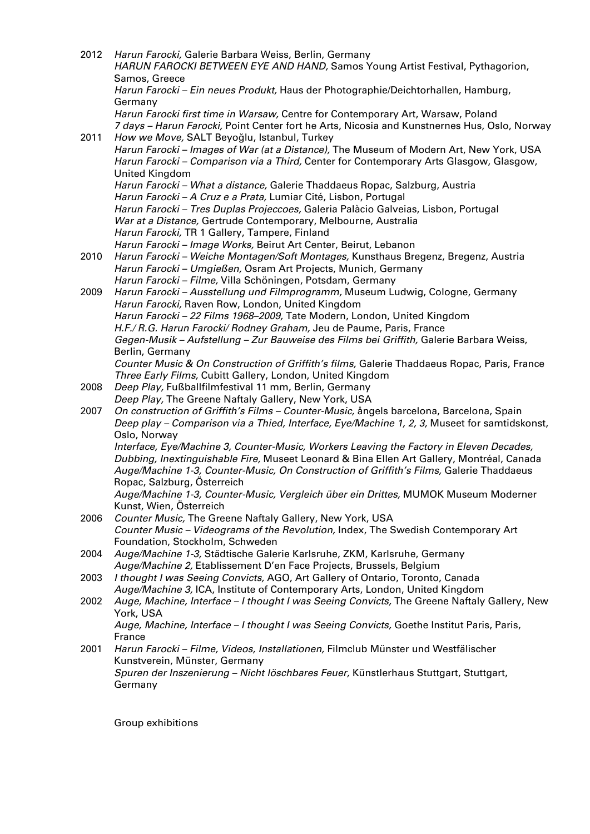| 2012 | Harun Farocki, Galerie Barbara Weiss, Berlin, Germany<br>HARUN FAROCKI BETWEEN EYE AND HAND, Samos Young Artist Festival, Pythagorion, |
|------|----------------------------------------------------------------------------------------------------------------------------------------|
|      | Samos, Greece                                                                                                                          |
|      | Harun Farocki - Ein neues Produkt, Haus der Photographie/Deichtorhallen, Hamburg,<br>Germany                                           |
|      | Harun Farocki first time in Warsaw, Centre for Contemporary Art, Warsaw, Poland                                                        |
|      | 7 days - Harun Farocki, Point Center fort he Arts, Nicosia and Kunstnernes Hus, Oslo, Norway                                           |
| 2011 | How we Move, SALT Beyoğlu, Istanbul, Turkey                                                                                            |
|      | Harun Farocki - Images of War (at a Distance), The Museum of Modern Art, New York, USA                                                 |
|      | Harun Farocki - Comparison via a Third, Center for Contemporary Arts Glasgow, Glasgow,                                                 |
|      | United Kingdom                                                                                                                         |
|      | Harun Farocki - What a distance, Galerie Thaddaeus Ropac, Salzburg, Austria                                                            |
|      | Harun Farocki - A Cruz e a Prata, Lumiar Cité, Lisbon, Portugal                                                                        |
|      | Harun Farocki - Tres Duplas Projeccoes, Galeria Palàcio Galveias, Lisbon, Portugal                                                     |
|      | War at a Distance, Gertrude Contemporary, Melbourne, Australia<br>Harun Farocki, TR 1 Gallery, Tampere, Finland                        |
|      | Harun Farocki - Image Works, Beirut Art Center, Beirut, Lebanon                                                                        |
| 2010 | Harun Farocki - Weiche Montagen/Soft Montages, Kunsthaus Bregenz, Bregenz, Austria                                                     |
|      | Harun Farocki - Umgießen, Osram Art Projects, Munich, Germany                                                                          |
|      | Harun Farocki - Filme, Villa Schöningen, Potsdam, Germany                                                                              |
| 2009 | Harun Farocki - Ausstellung und Filmprogramm, Museum Ludwig, Cologne, Germany                                                          |
|      | Harun Farocki, Raven Row, London, United Kingdom                                                                                       |
|      | Harun Farocki - 22 Films 1968-2009, Tate Modern, London, United Kingdom                                                                |
|      | H.F./ R.G. Harun Farocki/ Rodney Graham, Jeu de Paume, Paris, France                                                                   |
|      | Gegen-Musik - Aufstellung - Zur Bauweise des Films bei Griffith, Galerie Barbara Weiss,                                                |
|      | Berlin, Germany<br>Counter Music & On Construction of Griffith's films, Galerie Thaddaeus Ropac, Paris, France                         |
|      | Three Early Films, Cubitt Gallery, London, United Kingdom                                                                              |
| 2008 | Deep Play, Fußballfilmfestival 11 mm, Berlin, Germany                                                                                  |
|      | Deep Play, The Greene Naftaly Gallery, New York, USA                                                                                   |
| 2007 | On construction of Griffith's Films - Counter-Music, ångels barcelona, Barcelona, Spain                                                |
|      | Deep play - Comparison via a Thied, Interface, Eye/Machine 1, 2, 3, Museet for samtidskonst,                                           |
|      | Oslo, Norway                                                                                                                           |
|      | Interface, Eye/Machine 3, Counter-Music, Workers Leaving the Factory in Eleven Decades,                                                |
|      | Dubbing, Inextinguishable Fire, Museet Leonard & Bina Ellen Art Gallery, Montréal, Canada                                              |
|      | Auge/Machine 1-3, Counter-Music, On Construction of Griffith's Films, Galerie Thaddaeus                                                |
|      | Ropac, Salzburg, Österreich                                                                                                            |
|      | Auge/Machine 1-3, Counter-Music, Vergleich über ein Drittes, MUMOK Museum Moderner<br>Kunst, Wien, Österreich                          |
| 2006 | Counter Music, The Greene Naftaly Gallery, New York, USA                                                                               |
|      | Counter Music - Videograms of the Revolution, Index, The Swedish Contemporary Art                                                      |
|      | Foundation, Stockholm, Schweden                                                                                                        |
| 2004 | Auge/Machine 1-3, Städtische Galerie Karlsruhe, ZKM, Karlsruhe, Germany                                                                |
|      | Auge/Machine 2, Etablissement D'en Face Projects, Brussels, Belgium                                                                    |
| 2003 | I thought I was Seeing Convicts, AGO, Art Gallery of Ontario, Toronto, Canada                                                          |
|      | Auge/Machine 3, ICA, Institute of Contemporary Arts, London, United Kingdom                                                            |
| 2002 | Auge, Machine, Interface - I thought I was Seeing Convicts, The Greene Naftaly Gallery, New                                            |
|      | York, USA                                                                                                                              |
|      | Auge, Machine, Interface - I thought I was Seeing Convicts, Goethe Institut Paris, Paris,                                              |
| 2001 | France<br>Harun Farocki - Filme, Videos, Installationen, Filmclub Münster und Westfälischer                                            |
|      | Kunstverein, Münster, Germany                                                                                                          |
|      | Spuren der Inszenierung - Nicht löschbares Feuer, Künstlerhaus Stuttgart, Stuttgart,                                                   |
|      | Germany                                                                                                                                |

Group exhibitions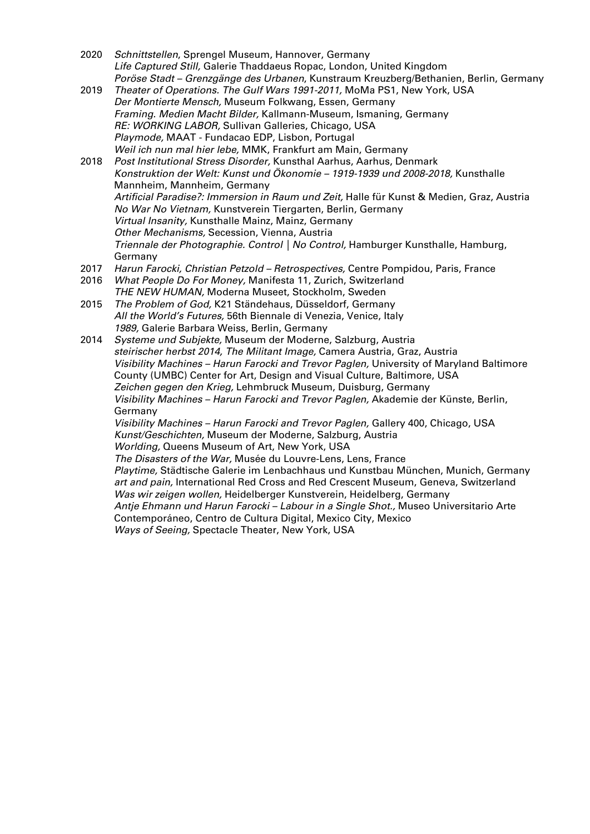- 2020 Schnittstellen, Sprengel Museum, Hannover, Germany Life Captured Still, Galerie Thaddaeus Ropac, London, United Kingdom Poröse Stadt – Grenzgänge des Urbanen, Kunstraum Kreuzberg/Bethanien, Berlin, Germany
- 2019 Theater of Operations. The Gulf Wars 1991-2011, MoMa PS1, New York, USA Der Montierte Mensch, Museum Folkwang, Essen, Germany Framing. Medien Macht Bilder, Kallmann-Museum, Ismaning, Germany RE: WORKING LABOR, Sullivan Galleries, Chicago, USA Playmode, MAAT - Fundacao EDP, Lisbon, Portugal Weil ich nun mal hier lebe, MMK, Frankfurt am Main, Germany
- 2018 Post Institutional Stress Disorder, Kunsthal Aarhus, Aarhus, Denmark Konstruktion der Welt: Kunst und Ökonomie – 1919-1939 und 2008-2018, Kunsthalle Mannheim, Mannheim, Germany Artificial Paradise?: Immersion in Raum und Zeit, Halle für Kunst & Medien, Graz, Austria No War No Vietnam, Kunstverein Tiergarten, Berlin, Germany Virtual Insanity, Kunsthalle Mainz, Mainz, Germany Other Mechanisms, Secession, Vienna, Austria Triennale der Photographie. Control | No Control, Hamburger Kunsthalle, Hamburg, Germany
- 2017 Harun Farocki, Christian Petzold Retrospectives, Centre Pompidou, Paris, France
- 2016 What People Do For Money, Manifesta 11, Zurich, Switzerland THE NEW HUMAN, Moderna Museet, Stockholm, Sweden
- 2015 The Problem of God, K21 Ständehaus, Düsseldorf, Germany All the World's Futures, 56th Biennale di Venezia, Venice, Italy 1989, Galerie Barbara Weiss, Berlin, Germany

2014 Systeme und Subjekte, Museum der Moderne, Salzburg, Austria steirischer herbst 2014, The Militant Image, Camera Austria, Graz, Austria Visibility Machines – Harun Farocki and Trevor Paglen, University of Maryland Baltimore County (UMBC) Center for Art, Design and Visual Culture, Baltimore, USA Zeichen gegen den Krieg, Lehmbruck Museum, Duisburg, Germany Visibility Machines – Harun Farocki and Trevor Paglen, Akademie der Künste, Berlin, Germany Visibility Machines – Harun Farocki and Trevor Paglen, Gallery 400, Chicago, USA

Kunst/Geschichten, Museum der Moderne, Salzburg, Austria

Worlding, Queens Museum of Art, New York, USA The Disasters of the War, Musée du Louvre-Lens, Lens, France

Playtime, Städtische Galerie im Lenbachhaus und Kunstbau München, Munich, Germany art and pain, International Red Cross and Red Crescent Museum, Geneva, Switzerland Was wir zeigen wollen, Heidelberger Kunstverein, Heidelberg, Germany Antje Ehmann und Harun Farocki – Labour in a Single Shot., Museo Universitario Arte Contemporáneo, Centro de Cultura Digital, Mexico City, Mexico

Ways of Seeing, Spectacle Theater, New York, USA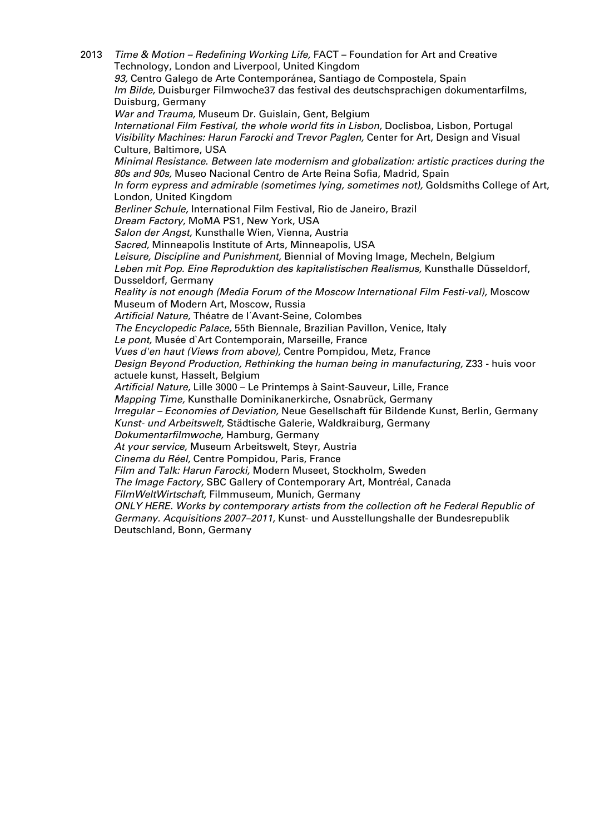2013 *Time & Motion – Redefining Working Life*, FACT – Foundation for Art and Creative Technology, London and Liverpool, United Kingdom 93, Centro Galego de Arte Contemporánea, Santiago de Compostela, Spain Im Bilde, Duisburger Filmwoche37 das festival des deutschsprachigen dokumentarfilms, Duisburg, Germany War and Trauma, Museum Dr. Guislain, Gent, Belgium International Film Festival, the whole world fits in Lisbon, Doclisboa, Lisbon, Portugal Visibility Machines: Harun Farocki and Trevor Paglen, Center for Art, Design and Visual Culture, Baltimore, USA Minimal Resistance. Between late modernism and globalization: artistic practices during the 80s and 90s, Museo Nacional Centro de Arte Reina Sofia, Madrid, Spain In form eypress and admirable (sometimes lying, sometimes not), Goldsmiths College of Art, London, United Kingdom Berliner Schule, International Film Festival, Rio de Janeiro, Brazil Dream Factory, MoMA PS1, New York, USA Salon der Angst, Kunsthalle Wien, Vienna, Austria Sacred, Minneapolis Institute of Arts, Minneapolis, USA Leisure, Discipline and Punishment, Biennial of Moving Image, Mecheln, Belgium Leben mit Pop. Eine Reproduktion des kapitalistischen Realismus, Kunsthalle Düsseldorf, Dusseldorf, Germany Reality is not enough (Media Forum of the Moscow International Film Festi-val), Moscow Museum of Modern Art, Moscow, Russia Artificial Nature, Théatre de l´Avant-Seine, Colombes The Encyclopedic Palace, 55th Biennale, Brazilian Pavillon, Venice, Italy Le pont, Musée d`Art Contemporain, Marseille, France Vues d'en haut (Views from above), Centre Pompidou, Metz, France Design Beyond Production, Rethinking the human being in manufacturing, Z33 - huis voor actuele kunst, Hasselt, Belgium Artificial Nature, Lille 3000 – Le Printemps à Saint-Sauveur, Lille, France Mapping Time, Kunsthalle Dominikanerkirche, Osnabrück, Germany Irregular – Economies of Deviation, Neue Gesellschaft für Bildende Kunst, Berlin, Germany Kunst- und Arbeitswelt, Städtische Galerie, Waldkraiburg, Germany Dokumentarfilmwoche, Hamburg, Germany At your service, Museum Arbeitswelt, Steyr, Austria Cinema du Réel, Centre Pompidou, Paris, France Film and Talk: Harun Farocki, Modern Museet, Stockholm, Sweden The Image Factory, SBC Gallery of Contemporary Art, Montréal, Canada FilmWeltWirtschaft, Filmmuseum, Munich, Germany ONLY HERE. Works by contemporary artists from the collection oft he Federal Republic of Germany. Acquisitions 2007–2011, Kunst- und Ausstellungshalle der Bundesrepublik

Deutschland, Bonn, Germany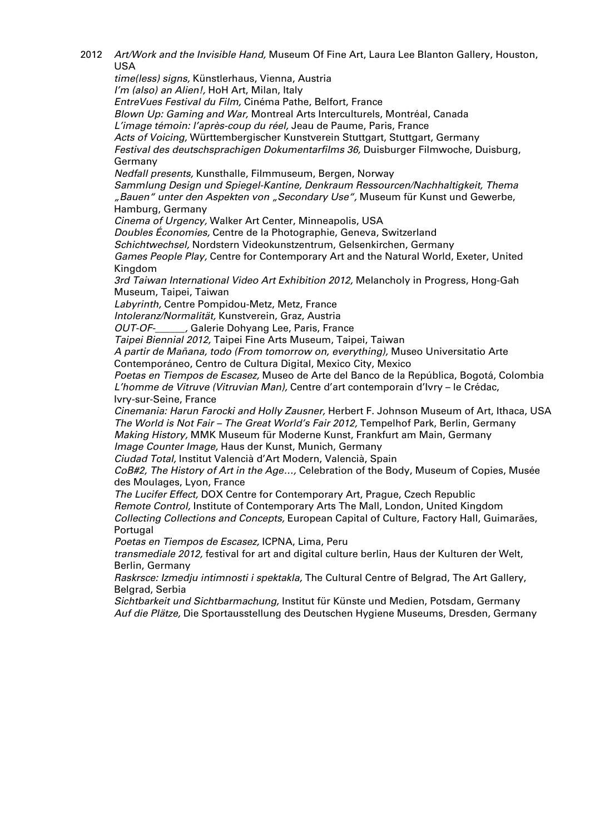2012 Art/Work and the Invisible Hand, Museum Of Fine Art, Laura Lee Blanton Gallery, Houston, USA time(less) signs, Künstlerhaus, Vienna, Austria I'm (also) an Alien!, HoH Art, Milan, Italy EntreVues Festival du Film, Cinéma Pathe, Belfort, France Blown Up: Gaming and War, Montreal Arts Interculturels, Montréal, Canada L'image témoin: l'après-coup du réel, Jeau de Paume, Paris, France Acts of Voicing, Württembergischer Kunstverein Stuttgart, Stuttgart, Germany Festival des deutschsprachigen Dokumentarfilms 36, Duisburger Filmwoche, Duisburg, Germany Nedfall presents, Kunsthalle, Filmmuseum, Bergen, Norway Sammlung Design und Spiegel-Kantine, Denkraum Ressourcen/Nachhaltigkeit, Thema "Bauen" unter den Aspekten von "Secondary Use", Museum für Kunst und Gewerbe, Hamburg, Germany Cinema of Urgency, Walker Art Center, Minneapolis, USA Doubles Économies, Centre de la Photographie, Geneva, Switzerland Schichtwechsel, Nordstern Videokunstzentrum, Gelsenkirchen, Germany Games People Play, Centre for Contemporary Art and the Natural World, Exeter, United Kingdom 3rd Taiwan International Video Art Exhibition 2012, Melancholy in Progress, Hong-Gah Museum, Taipei, Taiwan Labyrinth, Centre Pompidou-Metz, Metz, France Intoleranz/Normalität, Kunstverein, Graz, Austria OUT-OF-\_\_\_\_\_, Galerie Dohyang Lee, Paris, France Taipei Biennial 2012, Taipei Fine Arts Museum, Taipei, Taiwan A partir de Mañana, todo (From tomorrow on, everything), Museo Universitatio Arte Contemporáneo, Centro de Cultura Digital, Mexico City, Mexico Poetas en Tiempos de Escasez, Museo de Arte del Banco de la República, Bogotá, Colombia L'homme de Vitruve (Vitruvian Man), Centre d'art contemporain d'Ivry – le Crédac, Ivry-sur-Seine, France Cinemania: Harun Farocki and Holly Zausner, Herbert F. Johnson Museum of Art, Ithaca, USA The World is Not Fair – The Great World's Fair 2012, Tempelhof Park, Berlin, Germany Making History, MMK Museum für Moderne Kunst, Frankfurt am Main, Germany Image Counter Image, Haus der Kunst, Munich, Germany Ciudad Total, Institut Valencià d'Art Modern, Valencià, Spain CoB#2, The History of Art in the Age…, Celebration of the Body, Museum of Copies, Musée des Moulages, Lyon, France The Lucifer Effect, DOX Centre for Contemporary Art, Prague, Czech Republic Remote Control, Institute of Contemporary Arts The Mall, London, United Kingdom Collecting Collections and Concepts, European Capital of Culture, Factory Hall, Guimarães, **Portugal** Poetas en Tiempos de Escasez, ICPNA, Lima, Peru transmediale 2012, festival for art and digital culture berlin, Haus der Kulturen der Welt, Berlin, Germany Raskrsce: Izmedju intimnosti i spektakla, The Cultural Centre of Belgrad, The Art Gallery, Belgrad, Serbia Sichtbarkeit und Sichtbarmachung, Institut für Künste und Medien, Potsdam, Germany Auf die Plätze, Die Sportausstellung des Deutschen Hygiene Museums, Dresden, Germany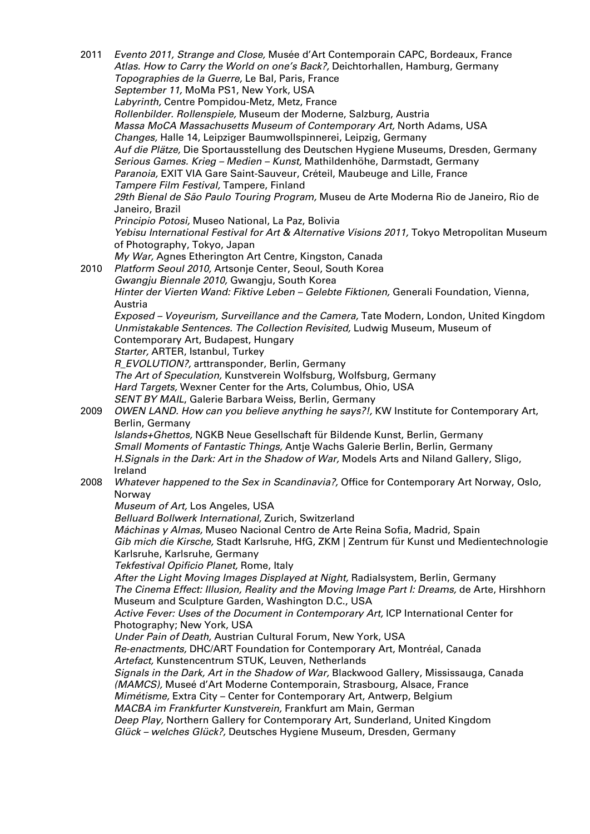2011 Evento 2011, Strange and Close, Musée d'Art Contemporain CAPC, Bordeaux, France Atlas. How to Carry the World on one's Back?, Deichtorhallen, Hamburg, Germany Topographies de la Guerre, Le Bal, Paris, France September 11, MoMa PS1, New York, USA Labyrinth, Centre Pompidou-Metz, Metz, France Rollenbilder. Rollenspiele, Museum der Moderne, Salzburg, Austria Massa MoCA Massachusetts Museum of Contemporary Art, North Adams, USA Changes, Halle 14, Leipziger Baumwollspinnerei, Leipzig, Germany Auf die Plätze, Die Sportausstellung des Deutschen Hygiene Museums, Dresden, Germany Serious Games. Krieg – Medien – Kunst, Mathildenhöhe, Darmstadt, Germany Paranoia, EXIT VIA Gare Saint-Sauveur, Créteil, Maubeuge and Lille, France Tampere Film Festival, Tampere, Finland 29th Bienal de São Paulo Touring Program, Museu de Arte Moderna Rio de Janeiro, Rio de Janeiro, Brazil Principio Potosi, Museo National, La Paz, Bolivia Yebisu International Festival for Art & Alternative Visions 2011, Tokyo Metropolitan Museum of Photography, Tokyo, Japan My War, Agnes Etherington Art Centre, Kingston, Canada 2010 Platform Seoul 2010, Artsonje Center, Seoul, South Korea Gwangju Biennale 2010, Gwangju, South Korea Hinter der Vierten Wand: Fiktive Leben – Gelebte Fiktionen, Generali Foundation, Vienna, Austria Exposed – Voyeurism, Surveillance and the Camera, Tate Modern, London, United Kingdom Unmistakable Sentences. The Collection Revisited, Ludwig Museum, Museum of Contemporary Art, Budapest, Hungary Starter, ARTER, Istanbul, Turkey R\_EVOLUTION?, arttransponder, Berlin, Germany The Art of Speculation, Kunstverein Wolfsburg, Wolfsburg, Germany Hard Targets, Wexner Center for the Arts, Columbus, Ohio, USA SENT BY MAIL, Galerie Barbara Weiss, Berlin, Germany 2009 OWEN LAND. How can you believe anything he says?!, KW Institute for Contemporary Art, Berlin, Germany Islands+Ghettos, NGKB Neue Gesellschaft für Bildende Kunst, Berlin, Germany Small Moments of Fantastic Things, Antje Wachs Galerie Berlin, Berlin, Germany H.Signals in the Dark: Art in the Shadow of War, Models Arts and Niland Gallery, Sligo, Ireland 2008 Whatever happened to the Sex in Scandinavia?, Office for Contemporary Art Norway, Oslo, Norway Museum of Art, Los Angeles, USA Belluard Bollwerk International, Zurich, Switzerland Máchinas y Almas, Museo Nacional Centro de Arte Reina Sofia, Madrid, Spain Gib mich die Kirsche, Stadt Karlsruhe, HfG, ZKM | Zentrum für Kunst und Medientechnologie Karlsruhe, Karlsruhe, Germany Tekfestival Opificio Planet, Rome, Italy After the Light Moving Images Displayed at Night, Radialsystem, Berlin, Germany The Cinema Effect: Illusion, Reality and the Moving Image Part I: Dreams, de Arte, Hirshhorn Museum and Sculpture Garden, Washington D.C., USA Active Fever: Uses of the Document in Contemporary Art, ICP International Center for Photography; New York, USA Under Pain of Death, Austrian Cultural Forum, New York, USA Re-enactments, DHC/ART Foundation for Contemporary Art, Montréal, Canada Artefact, Kunstencentrum STUK, Leuven, Netherlands Signals in the Dark, Art in the Shadow of War, Blackwood Gallery, Mississauga, Canada (MAMCS), Museé d'Art Moderne Contemporain, Strasbourg, Alsace, France Mimétisme, Extra City – Center for Contemporary Art, Antwerp, Belgium MACBA im Frankfurter Kunstverein, Frankfurt am Main, German Deep Play, Northern Gallery for Contemporary Art, Sunderland, United Kingdom Glück – welches Glück?, Deutsches Hygiene Museum, Dresden, Germany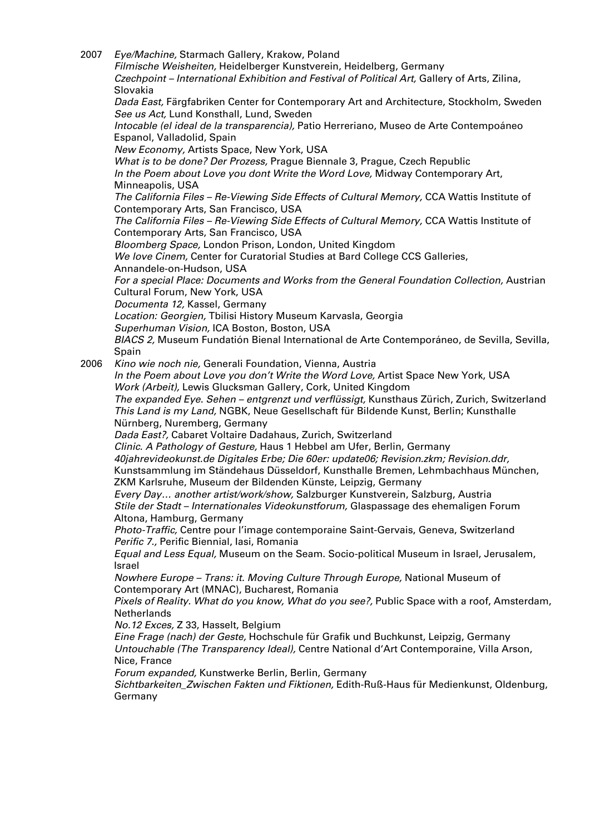2007 Eye/Machine, Starmach Gallery, Krakow, Poland Filmische Weisheiten, Heidelberger Kunstverein, Heidelberg, Germany Czechpoint – International Exhibition and Festival of Political Art, Gallery of Arts, Zilina, Slovakia Dada East, Färgfabriken Center for Contemporary Art and Architecture, Stockholm, Sweden See us Act, Lund Konsthall, Lund, Sweden Intocable (el ideal de la transparencia), Patio Herreriano, Museo de Arte Contempoáneo Espanol, Valladolid, Spain New Economy, Artists Space, New York, USA What is to be done? Der Prozess, Prague Biennale 3, Prague, Czech Republic In the Poem about Love you dont Write the Word Love, Midway Contemporary Art, Minneapolis, USA The California Files – Re-Viewing Side Effects of Cultural Memory, CCA Wattis Institute of Contemporary Arts, San Francisco, USA The California Files – Re-Viewing Side Effects of Cultural Memory, CCA Wattis Institute of Contemporary Arts, San Francisco, USA Bloomberg Space, London Prison, London, United Kingdom We love Cinem, Center for Curatorial Studies at Bard College CCS Galleries, Annandele-on-Hudson, USA For a special Place: Documents and Works from the General Foundation Collection, Austrian Cultural Forum, New York, USA Documenta 12, Kassel, Germany Location: Georgien, Tbilisi History Museum Karvasla, Georgia Superhuman Vision, ICA Boston, Boston, USA BIACS 2, Museum Fundatión Bienal International de Arte Contemporáneo, de Sevilla, Sevilla, Spain 2006 Kino wie noch nie, Generali Foundation, Vienna, Austria In the Poem about Love you don't Write the Word Love, Artist Space New York, USA Work (Arbeit), Lewis Glucksman Gallery, Cork, United Kingdom The expanded Eye. Sehen – entgrenzt und verflüssigt, Kunsthaus Zürich, Zurich, Switzerland This Land is my Land, NGBK, Neue Gesellschaft für Bildende Kunst, Berlin; Kunsthalle

Nürnberg, Nuremberg, Germany

Dada East?, Cabaret Voltaire Dadahaus, Zurich, Switzerland

Clinic. A Pathology of Gesture, Haus 1 Hebbel am Ufer, Berlin, Germany 40jahrevideokunst.de Digitales Erbe; Die 60er: update06; Revision.zkm; Revision.ddr, Kunstsammlung im Ständehaus Düsseldorf, Kunsthalle Bremen, Lehmbachhaus München, ZKM Karlsruhe, Museum der Bildenden Künste, Leipzig, Germany

Every Day… another artist/work/show, Salzburger Kunstverein, Salzburg, Austria Stile der Stadt – Internationales Videokunstforum, Glaspassage des ehemaligen Forum Altona, Hamburg, Germany

Photo-Traffic, Centre pour l'image contemporaine Saint-Gervais, Geneva, Switzerland Perific 7., Perific Biennial, Iasi, Romania

Equal and Less Equal, Museum on the Seam. Socio-political Museum in Israel, Jerusalem, Israel

Nowhere Europe – Trans: it. Moving Culture Through Europe, National Museum of Contemporary Art (MNAC), Bucharest, Romania

Pixels of Reality. What do you know, What do you see?, Public Space with a roof, Amsterdam, **Netherlands** 

No.12 Exces, Z 33, Hasselt, Belgium

Eine Frage (nach) der Geste, Hochschule für Grafik und Buchkunst, Leipzig, Germany Untouchable (The Transparency Ideal), Centre National d'Art Contemporaine, Villa Arson, Nice, France

Forum expanded, Kunstwerke Berlin, Berlin, Germany

Sichtbarkeiten Zwischen Fakten und Fiktionen, Edith-Ruß-Haus für Medienkunst, Oldenburg, Germany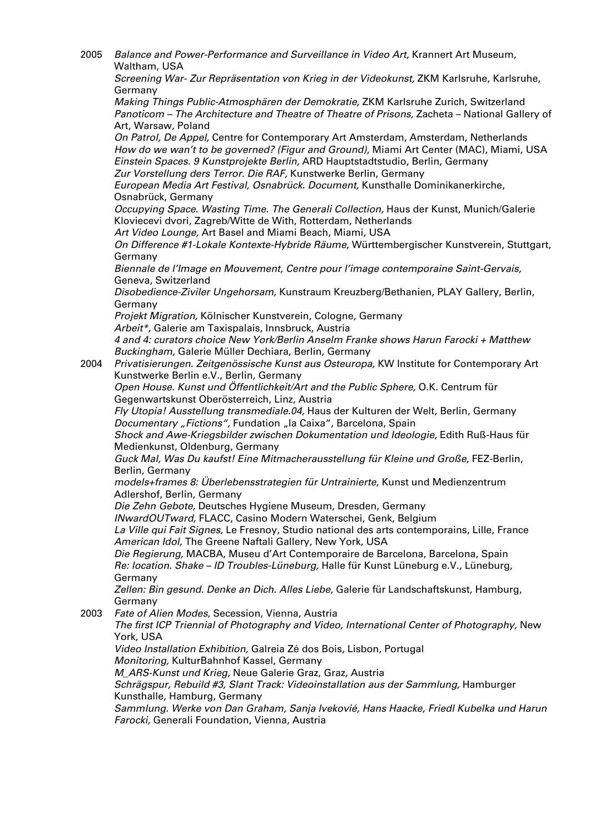2005 Balance and Power-Performance and Surveillance in Video Art, Krannert Art Museum, Waltham, USA

Screening War- Zur Repräsentation von Krieg in der Videokunst, ZKM Karlsruhe, Karlsruhe, Germany

Making Things Public-Atmosphären der Demokratie, ZKM Karlsruhe Zurich, Switzerland Panoticom – The Architecture and Theatre of Theatre of Prisons, Zacheta – National Gallery of Art, Warsaw, Poland

On Patrol, De Appel, Centre for Contemporary Art Amsterdam, Amsterdam, Netherlands How do we wan't to be governed? (Figur and Ground), Miami Art Center (MAC), Miami, USA Einstein Spaces. 9 Kunstprojekte Berlin, ARD Hauptstadtstudio, Berlin, Germany Zur Vorstellung ders Terror. Die RAF, Kunstwerke Berlin, Germany

European Media Art Festival, Osnabrück. Document, Kunsthalle Dominikanerkirche, Osnabrück, Germany

Occupying Space. Wasting Time. The Generali Collection, Haus der Kunst, Munich/Galerie Kloviecevi dvori, Zagreb/Witte de With, Rotterdam, Netherlands

Art Video Lounge, Art Basel and Miami Beach, Miami, USA

On Difference #1-Lokale Kontexte-Hybride Räume, Württembergischer Kunstverein, Stuttgart, Germany

Biennale de l'Image en Mouvement, Centre pour l'image contemporaine Saint-Gervais, Geneva, Switzerland

Disobedience-Ziviler Ungehorsam, Kunstraum Kreuzberg/Bethanien, PLAY Gallery, Berlin, Germany

Projekt Migration, Kölnischer Kunstverein, Cologne, Germany

Arbeit\*, Galerie am Taxispalais, Innsbruck, Austria

4 and 4: curators choice New York/Berlin Anselm Franke shows Harun Farocki + Matthew Buckingham, Galerie Müller Dechiara, Berlin, Germany

2004 Privatisierungen. Zeitgenössische Kunst aus Osteuropa, KW Institute for Contemporary Art Kunstwerke Berlin e.V., Berlin, Germany

Open House. Kunst und Öffentlichkeit/Art and the Public Sphere, O.K. Centrum für Gegenwartskunst Oberösterreich, Linz, Austria

Fly Utopia! Ausstellung transmediale.04, Haus der Kulturen der Welt, Berlin, Germany Documentary "Fictions", Fundation "la Caixa", Barcelona, Spain

Shock and Awe-Kriegsbilder zwischen Dokumentation und Ideologie, Edith Ruß-Haus für Medienkunst, Oldenburg, Germany

Guck Mal, Was Du kaufst! Eine Mitmacherausstellung für Kleine und Große, FEZ-Berlin, Berlin, Germany

models+frames 8: Überlebensstrategien für Untrainierte, Kunst und Medienzentrum Adlershof, Berlin, Germany

Die Zehn Gebote, Deutsches Hygiene Museum, Dresden, Germany

INwardOUTward, FLACC, Casino Modern Waterschei, Genk, Belgium

La Ville qui Fait Signes, Le Fresnoy, Studio national des arts contemporains, Lille, France American Idol, The Greene Naftali Gallery, New York, USA

Die Regierung, MACBA, Museu d'Art Contemporaire de Barcelona, Barcelona, Spain Re: location. Shake – ID Troubles-Lüneburg, Halle für Kunst Lüneburg e.V., Lüneburg, Germany

Zellen: Bin gesund. Denke an Dich. Alles Liebe, Galerie für Landschaftskunst, Hamburg, Germany

2003 Fate of Alien Modes, Secession, Vienna, Austria

The first ICP Triennial of Photography and Video, International Center of Photography, New York, USA

Video Installation Exhibition, Galreia Zé dos Bois, Lisbon, Portugal

Monitoring, KulturBahnhof Kassel, Germany

M ARS-Kunst und Krieg, Neue Galerie Graz, Graz, Austria

Schrägspur, Rebuild #3, Slant Track: Videoinstallation aus der Sammlung, Hamburger Kunsthalle, Hamburg, Germany

Sammlung. Werke von Dan Graham, Sanja Ivekovié, Hans Haacke, Friedl Kubelka und Harun Farocki, Generali Foundation, Vienna, Austria